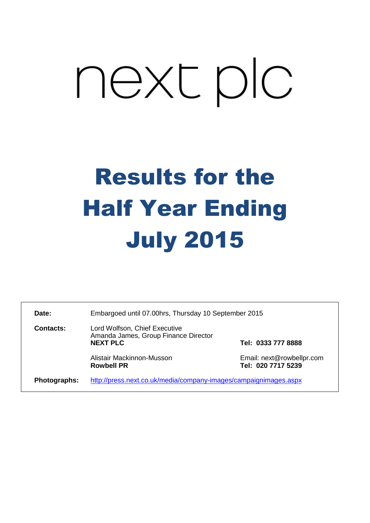# next plc

# Results for the Half Year Ending July 2015

**Date:** Embargoed until 07.00hrs, Thursday 10 September 2015 **Contacts:** Lord Wolfson, Chief Executive Amanda James, Group Finance Director **NEXT PLC Tel: 0333 777 8888** Alistair Mackinnon-Musson<br> **Rowbell PR**<br> **Rowbell PR**<br> **Rowbell PR Rowbell PR Tel: 020 7717 5239 Photographs:** <http://press.next.co.uk/media/company-images/campaignimages.aspx>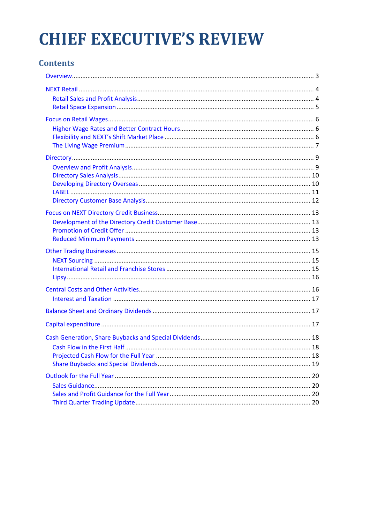# **CHIEF EXECUTIVE'S REVIEW**

### **Contents**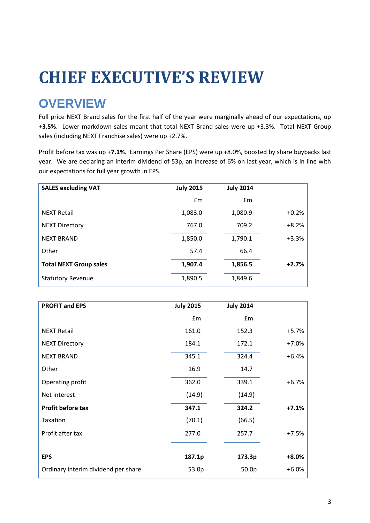## **CHIEF EXECUTIVE'S REVIEW**

### <span id="page-2-0"></span>**OVERVIEW**

Full price NEXT Brand sales for the first half of the year were marginally ahead of our expectations, up +**3.5%**. Lower markdown sales meant that total NEXT Brand sales were up +3.3%. Total NEXT Group sales (including NEXT Franchise sales) were up +2.7%.

Profit before tax was up +**7.1%**.Earnings Per Share (EPS) were up +8.0%, boosted by share buybacks last year. We are declaring an interim dividend of 53p, an increase of 6% on last year, which is in line with our expectations for full year growth in EPS.

| <b>SALES excluding VAT</b>    | <b>July 2015</b> | <b>July 2014</b> |         |
|-------------------------------|------------------|------------------|---------|
|                               | Em               | Em               |         |
| <b>NEXT Retail</b>            | 1,083.0          | 1,080.9          | $+0.2%$ |
| <b>NEXT Directory</b>         | 767.0            | 709.2            | $+8.2%$ |
| <b>NEXT BRAND</b>             | 1,850.0          | 1,790.1          | $+3.3%$ |
| Other                         | 57.4             | 66.4             |         |
| <b>Total NEXT Group sales</b> | 1,907.4          | 1,856.5          | $+2.7%$ |
| <b>Statutory Revenue</b>      | 1,890.5          | 1,849.6          |         |

| <b>PROFIT and EPS</b>               | <b>July 2015</b> | <b>July 2014</b> |         |
|-------------------------------------|------------------|------------------|---------|
|                                     | £m               | £m               |         |
| <b>NEXT Retail</b>                  | 161.0            | 152.3            | $+5.7%$ |
| <b>NEXT Directory</b>               | 184.1            | 172.1            | $+7.0%$ |
| <b>NEXT BRAND</b>                   | 345.1            | 324.4            | $+6.4%$ |
| Other                               | 16.9             | 14.7             |         |
| Operating profit                    | 362.0            | 339.1            | $+6.7%$ |
| Net interest                        | (14.9)           | (14.9)           |         |
| Profit before tax                   | 347.1            | 324.2            | $+7.1%$ |
| Taxation                            | (70.1)           | (66.5)           |         |
| Profit after tax                    | 277.0            | 257.7            | $+7.5%$ |
|                                     |                  |                  |         |
| <b>EPS</b>                          | 187.1p           | 173.3p           | $+8.0%$ |
| Ordinary interim dividend per share | 53.0p            | 50.0p            | $+6.0%$ |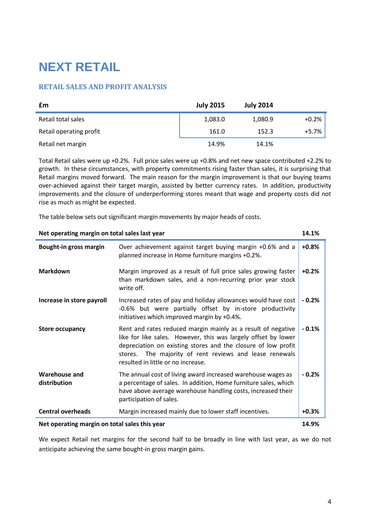### <span id="page-3-0"></span>**NEXT RETAIL**

### <span id="page-3-1"></span>**RETAIL SALES AND PROFIT ANALYSIS**

| £m                      | <b>July 2015</b> | <b>July 2014</b> |         |
|-------------------------|------------------|------------------|---------|
| Retail total sales      | 1,083.0          | 1,080.9          | $+0.2%$ |
| Retail operating profit | 161.0            | 152.3            | $+5.7%$ |
| Retail net margin       | 14.9%            | 14.1%            |         |

Total Retail sales were up +0.2%. Full price sales were up +0.8% and net new space contributed +2.2% to growth. In these circumstances, with property commitments rising faster than sales, it is surprising that Retail margins moved forward. The main reason for the margin improvement is that our buying teams over-achieved against their target margin, assisted by better currency rates. In addition, productivity improvements and the closure of underperforming stores meant that wage and property costs did not rise as much as might be expected.

The table below sets out significant margin movements by major heads of costs.

| Net operating margin on total sales last year |                                                                                                                                                                                                                                                                                                  | 14.1%   |
|-----------------------------------------------|--------------------------------------------------------------------------------------------------------------------------------------------------------------------------------------------------------------------------------------------------------------------------------------------------|---------|
| Bought-in gross margin                        | Over achievement against target buying margin +0.6% and a<br>planned increase in Home furniture margins +0.2%.                                                                                                                                                                                   | $+0.8%$ |
| <b>Markdown</b>                               | Margin improved as a result of full price sales growing faster<br>than markdown sales, and a non-recurring prior year stock<br>write off.                                                                                                                                                        | $+0.2%$ |
| Increase in store payroll                     | Increased rates of pay and holiday allowances would have cost<br>-0.6% but were partially offset by in-store productivity<br>initiatives which improved margin by +0.4%.                                                                                                                         | $-0.2%$ |
| <b>Store occupancy</b>                        | Rent and rates reduced margin mainly as a result of negative<br>like for like sales. However, this was largely offset by lower<br>depreciation on existing stores and the closure of low profit<br>stores. The majority of rent reviews and lease renewals<br>resulted in little or no increase. | $-0.1%$ |
| <b>Warehouse and</b><br>distribution          | The annual cost of living award increased warehouse wages as<br>a percentage of sales. In addition, Home furniture sales, which<br>have above average warehouse handling costs, increased their<br>participation of sales.                                                                       | $-0.2%$ |
| <b>Central overheads</b>                      | Margin increased mainly due to lower staff incentives.                                                                                                                                                                                                                                           | $+0.3%$ |
| Net operating margin on total sales this year |                                                                                                                                                                                                                                                                                                  | 14.9%   |

We expect Retail net margins for the second half to be broadly in line with last year, as we do not anticipate achieving the same bought-in gross margin gains.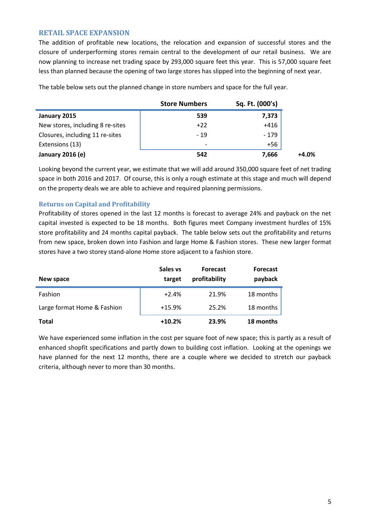### <span id="page-4-0"></span>**RETAIL SPACE EXPANSION**

The addition of profitable new locations, the relocation and expansion of successful stores and the closure of underperforming stores remain central to the development of our retail business. We are now planning to increase net trading space by 293,000 square feet this year. This is 57,000 square feet less than planned because the opening of two large stores has slipped into the beginning of next year.

The table below sets out the planned change in store numbers and space for the full year.

|                                  | <b>Store Numbers</b>     | Sq. Ft. (000's) |
|----------------------------------|--------------------------|-----------------|
| January 2015                     | 539                      | 7,373           |
| New stores, including 8 re-sites | $+22$                    | $+416$          |
| Closures, including 11 re-sites  | $-19$                    | $-179$          |
| Extensions (13)                  | $\overline{\phantom{0}}$ | $+56$           |
| January 2016 (e)                 | 542                      | 7,666           |

Looking beyond the current year, we estimate that we will add around 350,000 square feet of net trading space in both 2016 and 2017. Of course, this is only a rough estimate at this stage and much will depend on the property deals we are able to achieve and required planning permissions.

### **Returns on Capital and Profitability**

Profitability of stores opened in the last 12 months is forecast to average 24% and payback on the net capital invested is expected to be 18 months. Both figures meet Company investment hurdles of 15% store profitability and 24 months capital payback. The table below sets out the profitability and returns from new space, broken down into Fashion and large Home & Fashion stores. These new larger format stores have a two storey stand-alone Home store adjacent to a fashion store.

| New space                   | Sales vs<br>target | <b>Forecast</b><br>profitability | <b>Forecast</b><br>payback |
|-----------------------------|--------------------|----------------------------------|----------------------------|
| Fashion                     | $+2.4%$            | 21.9%                            | 18 months                  |
| Large format Home & Fashion | $+15.9%$           | 25.2%                            | 18 months                  |
| <b>Total</b>                | $+10.2%$           | 23.9%                            | 18 months                  |

We have experienced some inflation in the cost per square foot of new space; this is partly as a result of enhanced shopfit specifications and partly down to building cost inflation. Looking at the openings we have planned for the next 12 months, there are a couple where we decided to stretch our payback criteria, although never to more than 30 months.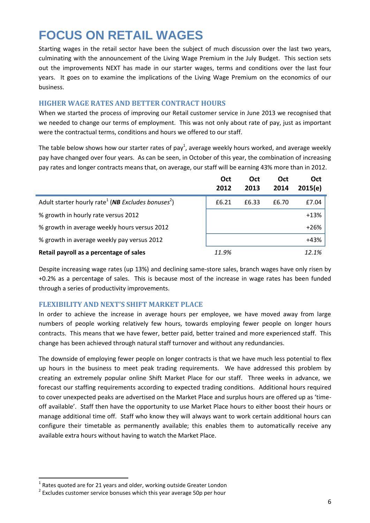### <span id="page-5-0"></span>**FOCUS ON RETAIL WAGES**

Starting wages in the retail sector have been the subject of much discussion over the last two years, culminating with the announcement of the Living Wage Premium in the July Budget. This section sets out the improvements NEXT has made in our starter wages, terms and conditions over the last four years. It goes on to examine the implications of the Living Wage Premium on the economics of our business.

### <span id="page-5-1"></span>**HIGHER WAGE RATES AND BETTER CONTRACT HOURS**

When we started the process of improving our Retail customer service in June 2013 we recognised that we needed to change our terms of employment. This was not only about rate of pay, just as important were the contractual terms, conditions and hours we offered to our staff.

The table below shows how our starter rates of pay<sup>1</sup>, average weekly hours worked, and average weekly pay have changed over four years. As can be seen, in October of this year, the combination of increasing pay rates and longer contracts means that, on average, our staff will be earning 43% more than in 2012.

|                                                                            | Oct<br>2012 | Oct<br>2013 | Oct<br>2014 | Oct<br>2015(e) |
|----------------------------------------------------------------------------|-------------|-------------|-------------|----------------|
| Adult starter hourly rate <sup>1</sup> (NB Excludes bonuses <sup>2</sup> ) | £6.21       | £6.33       | £6.70       | £7.04          |
| % growth in hourly rate versus 2012                                        |             |             |             | $+13%$         |
| % growth in average weekly hours versus 2012                               |             |             |             | $+26%$         |
| % growth in average weekly pay versus 2012                                 |             |             |             | $+43%$         |
| Retail payroll as a percentage of sales                                    | 11.9%       |             |             | 12.1%          |

Despite increasing wage rates (up 13%) and declining same-store sales, branch wages have only risen by +0.2% as a percentage of sales. This is because most of the increase in wage rates has been funded through a series of productivity improvements.

### <span id="page-5-2"></span>**FLEXIBILITY AND NEXT'S SHIFT MARKET PLACE**

In order to achieve the increase in average hours per employee, we have moved away from large numbers of people working relatively few hours, towards employing fewer people on longer hours contracts. This means that we have fewer, better paid, better trained and more experienced staff. This change has been achieved through natural staff turnover and without any redundancies.

The downside of employing fewer people on longer contracts is that we have much less potential to flex up hours in the business to meet peak trading requirements. We have addressed this problem by creating an extremely popular online Shift Market Place for our staff. Three weeks in advance, we forecast our staffing requirements according to expected trading conditions. Additional hours required to cover unexpected peaks are advertised on the Market Place and surplus hours are offered up as 'timeoff available'. Staff then have the opportunity to use Market Place hours to either boost their hours or manage additional time off. Staff who know they will always want to work certain additional hours can configure their timetable as permanently available; this enables them to automatically receive any available extra hours without having to watch the Market Place.

 $\overline{\phantom{a}}$  $<sup>1</sup>$  Rates quoted are for 21 years and older, working outside Greater London</sup>

 $2$  Excludes customer service bonuses which this year average 50p per hour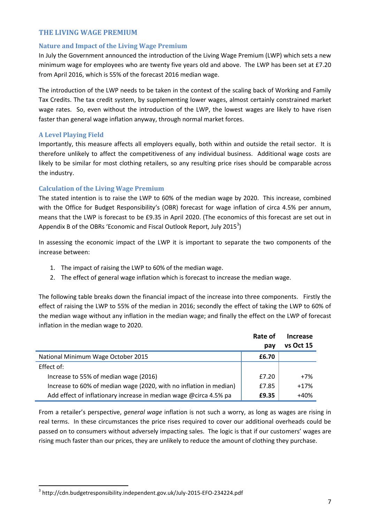### <span id="page-6-0"></span>**THE LIVING WAGE PREMIUM**

#### **Nature and Impact of the Living Wage Premium**

In July the Government announced the introduction of the Living Wage Premium (LWP) which sets a new minimum wage for employees who are twenty five years old and above. The LWP has been set at £7.20 from April 2016, which is 55% of the forecast 2016 median wage.

The introduction of the LWP needs to be taken in the context of the scaling back of Working and Family Tax Credits. The tax credit system, by supplementing lower wages, almost certainly constrained market wage rates. So, even without the introduction of the LWP, the lowest wages are likely to have risen faster than general wage inflation anyway, through normal market forces.

#### **A Level Playing Field**

l

Importantly, this measure affects all employers equally, both within and outside the retail sector. It is therefore unlikely to affect the competitiveness of any individual business. Additional wage costs are likely to be similar for most clothing retailers, so any resulting price rises should be comparable across the industry.

### **Calculation of the Living Wage Premium**

The stated intention is to raise the LWP to 60% of the median wage by 2020. This increase, combined with the Office for Budget Responsibility's (OBR) forecast for wage inflation of circa 4.5% per annum, means that the LWP is forecast to be £9.35 in April 2020. (The economics of this forecast are set out in Appendix B of the OBRs 'Economic and Fiscal Outlook Report, July 2015<sup>3</sup>)

In assessing the economic impact of the LWP it is important to separate the two components of the increase between:

- 1. The impact of raising the LWP to 60% of the median wage.
- 2. The effect of general wage inflation which is forecast to increase the median wage.

The following table breaks down the financial impact of the increase into three components. Firstly the effect of raising the LWP to 55% of the median in 2016; secondly the effect of taking the LWP to 60% of the median wage without any inflation in the median wage; and finally the effect on the LWP of forecast inflation in the median wage to 2020.

|                                                                    | Rate of | Increase  |
|--------------------------------------------------------------------|---------|-----------|
|                                                                    | pay     | vs Oct 15 |
| National Minimum Wage October 2015                                 | £6.70   |           |
| Effect of:                                                         |         |           |
| Increase to 55% of median wage (2016)                              | £7.20   | $+7%$     |
| Increase to 60% of median wage (2020, with no inflation in median) | £7.85   | $+17%$    |
| Add effect of inflationary increase in median wage @circa 4.5% pa  | £9.35   | $+40%$    |

From a retailer's perspective, *general wage* inflation is not such a worry, as long as wages are rising in real terms. In these circumstances the price rises required to cover our additional overheads could be passed on to consumers without adversely impacting sales. The logic is that if our customers' wages are rising much faster than our prices, they are unlikely to reduce the amount of clothing they purchase.

 $^3$  http://cdn.budgetresponsibility.independent.gov.uk/July-2015-EFO-234224.pdf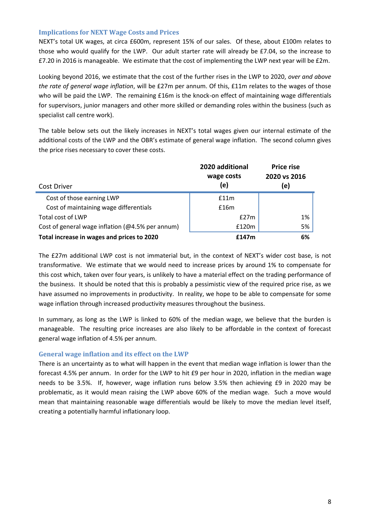#### **Implications for NEXT Wage Costs and Prices**

NEXT's total UK wages, at circa £600m, represent 15% of our sales. Of these, about £100m relates to those who would qualify for the LWP. Our adult starter rate will already be £7.04, so the increase to £7.20 in 2016 is manageable. We estimate that the cost of implementing the LWP next year will be £2m.

Looking beyond 2016, we estimate that the cost of the further rises in the LWP to 2020, *over and above the rate of general wage inflation*, will be £27m per annum. Of this, £11m relates to the wages of those who will be paid the LWP. The remaining £16m is the knock-on effect of maintaining wage differentials for supervisors, junior managers and other more skilled or demanding roles within the business (such as specialist call centre work).

The table below sets out the likely increases in NEXT's total wages given our internal estimate of the additional costs of the LWP and the OBR's estimate of general wage inflation. The second column gives the price rises necessary to cover these costs.

| Cost Driver                                      | 2020 additional<br>wage costs<br>(e) | <b>Price rise</b><br>2020 vs 2016<br>(e) |
|--------------------------------------------------|--------------------------------------|------------------------------------------|
| Cost of those earning LWP                        | f11m                                 |                                          |
| Cost of maintaining wage differentials           | £16m                                 |                                          |
| Total cost of LWP                                | E27m                                 | 1%                                       |
| Cost of general wage inflation (@4.5% per annum) | £120m                                | 5%                                       |
| Total increase in wages and prices to 2020       | £147m                                | 6%                                       |

The £27m additional LWP cost is not immaterial but, in the context of NEXT's wider cost base, is not transformative. We estimate that we would need to increase prices by around 1% to compensate for this cost which, taken over four years, is unlikely to have a material effect on the trading performance of the business. It should be noted that this is probably a pessimistic view of the required price rise, as we have assumed no improvements in productivity. In reality, we hope to be able to compensate for some wage inflation through increased productivity measures throughout the business.

In summary, as long as the LWP is linked to 60% of the median wage, we believe that the burden is manageable. The resulting price increases are also likely to be affordable in the context of forecast general wage inflation of 4.5% per annum.

### **General wage inflation and its effect on the LWP**

There is an uncertainty as to what will happen in the event that median wage inflation is lower than the forecast 4.5% per annum. In order for the LWP to hit £9 per hour in 2020, inflation in the median wage needs to be 3.5%. If, however, wage inflation runs below 3.5% then achieving £9 in 2020 may be problematic, as it would mean raising the LWP above 60% of the median wage. Such a move would mean that maintaining reasonable wage differentials would be likely to move the median level itself, creating a potentially harmful inflationary loop.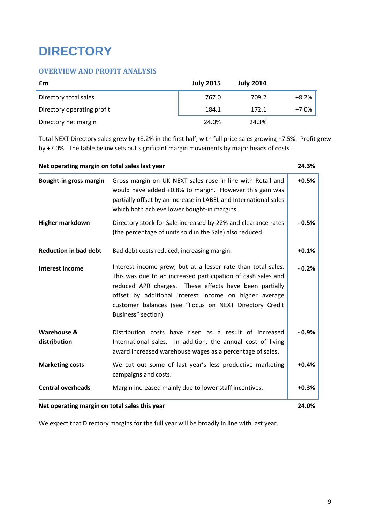### <span id="page-8-0"></span>**DIRECTORY**

### <span id="page-8-1"></span>**OVERVIEW AND PROFIT ANALYSIS**

| £m                         | <b>July 2015</b> | <b>July 2014</b> |         |
|----------------------------|------------------|------------------|---------|
| Directory total sales      | 767.0            | 709.2            | $+8.2%$ |
| Directory operating profit | 184.1            | 172.1            | $+7.0%$ |
| Directory net margin       | 24.0%            | 24.3%            |         |

Total NEXT Directory sales grew by +8.2% in the first half, with full price sales growing +7.5%. Profit grew by +7.0%. The table below sets out significant margin movements by major heads of costs.

| Net operating margin on total sales last year |                                                                                                                                                                                                                                                                                                                                   | 24.3%   |
|-----------------------------------------------|-----------------------------------------------------------------------------------------------------------------------------------------------------------------------------------------------------------------------------------------------------------------------------------------------------------------------------------|---------|
| <b>Bought-in gross margin</b>                 | Gross margin on UK NEXT sales rose in line with Retail and<br>would have added +0.8% to margin. However this gain was<br>partially offset by an increase in LABEL and International sales<br>which both achieve lower bought-in margins.                                                                                          | $+0.5%$ |
| <b>Higher markdown</b>                        | Directory stock for Sale increased by 22% and clearance rates<br>(the percentage of units sold in the Sale) also reduced.                                                                                                                                                                                                         | $-0.5%$ |
| <b>Reduction in bad debt</b>                  | Bad debt costs reduced, increasing margin.                                                                                                                                                                                                                                                                                        | $+0.1%$ |
| <b>Interest income</b>                        | Interest income grew, but at a lesser rate than total sales.<br>This was due to an increased participation of cash sales and<br>reduced APR charges. These effects have been partially<br>offset by additional interest income on higher average<br>customer balances (see "Focus on NEXT Directory Credit<br>Business" section). | $-0.2%$ |
| Warehouse &<br>distribution                   | Distribution costs have risen as a result of increased<br>International sales. In addition, the annual cost of living<br>award increased warehouse wages as a percentage of sales.                                                                                                                                                | $-0.9%$ |
| <b>Marketing costs</b>                        | We cut out some of last year's less productive marketing<br>campaigns and costs.                                                                                                                                                                                                                                                  | $+0.4%$ |
| <b>Central overheads</b>                      | Margin increased mainly due to lower staff incentives.                                                                                                                                                                                                                                                                            | $+0.3%$ |
| Net operating margin on total sales this year |                                                                                                                                                                                                                                                                                                                                   | 24.0%   |

We expect that Directory margins for the full year will be broadly in line with last year.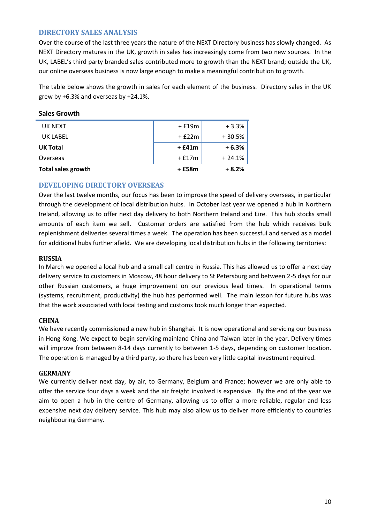### <span id="page-9-0"></span>**DIRECTORY SALES ANALYSIS**

Over the course of the last three years the nature of the NEXT Directory business has slowly changed. As NEXT Directory matures in the UK, growth in sales has increasingly come from two new sources. In the UK, LABEL's third party branded sales contributed more to growth than the NEXT brand; outside the UK, our online overseas business is now large enough to make a meaningful contribution to growth.

The table below shows the growth in sales for each element of the business. Directory sales in the UK grew by +6.3% and overseas by +24.1%.

#### **Sales Growth**

| UK NEXT                   | + £19m  | $+3.3%$  |
|---------------------------|---------|----------|
| UK LABEL                  | $+£22m$ | $+30.5%$ |
| <b>UK Total</b>           | + £41m  | $+6.3%$  |
| Overseas                  | $+£17m$ | $+24.1%$ |
| <b>Total sales growth</b> | + £58m  | $+8.2%$  |

#### <span id="page-9-1"></span>**DEVELOPING DIRECTORY OVERSEAS**

Over the last twelve months, our focus has been to improve the speed of delivery overseas, in particular through the development of local distribution hubs. In October last year we opened a hub in Northern Ireland, allowing us to offer next day delivery to both Northern Ireland and Eire. This hub stocks small amounts of each item we sell. Customer orders are satisfied from the hub which receives bulk replenishment deliveries several times a week. The operation has been successful and served as a model for additional hubs further afield. We are developing local distribution hubs in the following territories:

#### **RUSSIA**

In March we opened a local hub and a small call centre in Russia. This has allowed us to offer a next day delivery service to customers in Moscow, 48 hour delivery to St Petersburg and between 2-5 days for our other Russian customers, a huge improvement on our previous lead times. In operational terms (systems, recruitment, productivity) the hub has performed well. The main lesson for future hubs was that the work associated with local testing and customs took much longer than expected.

#### **CHINA**

We have recently commissioned a new hub in Shanghai. It is now operational and servicing our business in Hong Kong. We expect to begin servicing mainland China and Taiwan later in the year. Delivery times will improve from between 8-14 days currently to between 1-5 days, depending on customer location. The operation is managed by a third party, so there has been very little capital investment required.

#### **GERMANY**

We currently deliver next day, by air, to Germany, Belgium and France; however we are only able to offer the service four days a week and the air freight involved is expensive. By the end of the year we aim to open a hub in the centre of Germany, allowing us to offer a more reliable, regular and less expensive next day delivery service. This hub may also allow us to deliver more efficiently to countries neighbouring Germany.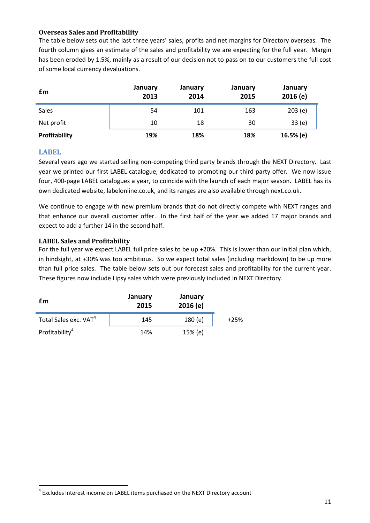### **Overseas Sales and Profitability**

The table below sets out the last three years' sales, profits and net margins for Directory overseas. The fourth column gives an estimate of the sales and profitability we are expecting for the full year. Margin has been eroded by 1.5%, mainly as a result of our decision not to pass on to our customers the full cost of some local currency devaluations.

| £m            | January<br>2013 | January<br>2014 | January<br>2015 | January<br>2016(e) |
|---------------|-----------------|-----------------|-----------------|--------------------|
| Sales         | 54              | 101             | 163             | 203(e)             |
| Net profit    | 10              | 18              | 30              | 33(e)              |
| Profitability | 19%             | 18%             | 18%             | 16.5% (e)          |

### <span id="page-10-0"></span>**LABEL**

l

Several years ago we started selling non-competing third party brands through the NEXT Directory. Last year we printed our first LABEL catalogue, dedicated to promoting our third party offer. We now issue four, 400-page LABEL catalogues a year, to coincide with the launch of each major season. LABEL has its own dedicated website, labelonline.co.uk, and its ranges are also available through next.co.uk.

We continue to engage with new premium brands that do not directly compete with NEXT ranges and that enhance our overall customer offer. In the first half of the year we added 17 major brands and expect to add a further 14 in the second half.

### **LABEL Sales and Profitability**

For the full year we expect LABEL full price sales to be up +20%. This is lower than our initial plan which, in hindsight, at +30% was too ambitious. So we expect total sales (including markdown) to be up more than full price sales. The table below sets out our forecast sales and profitability for the current year. These figures now include Lipsy sales which were previously included in NEXT Directory.

| £m                                | January<br>2015 | January<br>2016(e) |        |
|-----------------------------------|-----------------|--------------------|--------|
| Total Sales exc. VAT <sup>4</sup> | 145             | 180 (e)            | $+25%$ |
| Profitability <sup>4</sup>        | 14%             | 15% (e)            |        |

 $4$  Excludes interest income on LABEL items purchased on the NEXT Directory account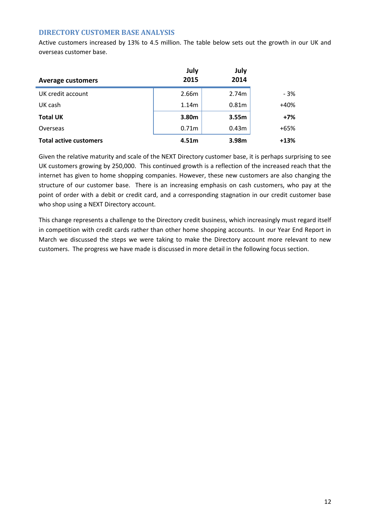### <span id="page-11-0"></span>**DIRECTORY CUSTOMER BASE ANALYSIS**

Active customers increased by 13% to 4.5 million. The table below sets out the growth in our UK and overseas customer base.

|                               | July              | July              |        |
|-------------------------------|-------------------|-------------------|--------|
| <b>Average customers</b>      | 2015              | 2014              |        |
| UK credit account             | 2.66m             | 2.74m             | - 3%   |
| UK cash                       | 1.14m             | 0.81 <sub>m</sub> | $+40%$ |
| <b>Total UK</b>               | 3.80m             | 3.55m             | $+7%$  |
| Overseas                      | 0.71 <sub>m</sub> | 0.43m             | $+65%$ |
| <b>Total active customers</b> | 4.51 <sub>m</sub> | 3.98m             | $+13%$ |

Given the relative maturity and scale of the NEXT Directory customer base, it is perhaps surprising to see UK customers growing by 250,000. This continued growth is a reflection of the increased reach that the internet has given to home shopping companies. However, these new customers are also changing the structure of our customer base. There is an increasing emphasis on cash customers, who pay at the point of order with a debit or credit card, and a corresponding stagnation in our credit customer base who shop using a NEXT Directory account.

This change represents a challenge to the Directory credit business, which increasingly must regard itself in competition with credit cards rather than other home shopping accounts. In our Year End Report in March we discussed the steps we were taking to make the Directory account more relevant to new customers. The progress we have made is discussed in more detail in the following focus section.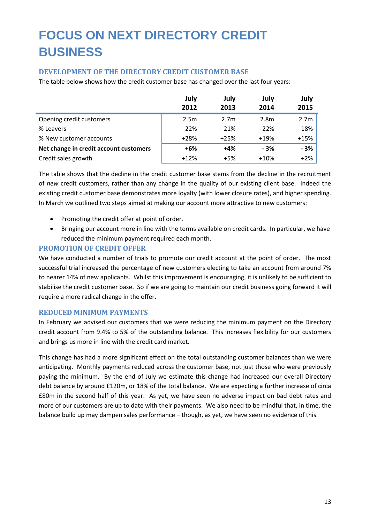### <span id="page-12-0"></span>**FOCUS ON NEXT DIRECTORY CREDIT BUSINESS**

### <span id="page-12-1"></span>**DEVELOPMENT OF THE DIRECTORY CREDIT CUSTOMER BASE**

The table below shows how the credit customer base has changed over the last four years:

|                                        | July   | July             | July             | July             |
|----------------------------------------|--------|------------------|------------------|------------------|
|                                        | 2012   | 2013             | 2014             | 2015             |
| Opening credit customers               | 2.5m   | 2.7 <sub>m</sub> | 2.8 <sub>m</sub> | 2.7 <sub>m</sub> |
| % Leavers                              | $-22%$ | $-21%$           | $-22%$           | $-18%$           |
| % New customer accounts                | $+28%$ | $+25%$           | $+19%$           | $+15%$           |
| Net change in credit account customers | $+6%$  | $+4%$            | - 3%             | $-3%$            |
| Credit sales growth                    | $+12%$ | +5%              | $+10%$           | $+2%$            |

The table shows that the decline in the credit customer base stems from the decline in the recruitment of *new* credit customers, rather than any change in the quality of our existing client base. Indeed the existing credit customer base demonstrates more loyalty (with lower closure rates), and higher spending. In March we outlined two steps aimed at making our account more attractive to new customers:

- Promoting the credit offer at point of order.
- Bringing our account more in line with the terms available on credit cards. In particular, we have reduced the minimum payment required each month.

### <span id="page-12-2"></span>**PROMOTION OF CREDIT OFFER**

We have conducted a number of trials to promote our credit account at the point of order. The most successful trial increased the percentage of new customers electing to take an account from around 7% to nearer 14% of new applicants. Whilst this improvement is encouraging, it is unlikely to be sufficient to stabilise the credit customer base. So if we are going to maintain our credit business going forward it will require a more radical change in the offer.

### <span id="page-12-3"></span>**REDUCED MINIMUM PAYMENTS**

In February we advised our customers that we were reducing the minimum payment on the Directory credit account from 9.4% to 5% of the outstanding balance. This increases flexibility for our customers and brings us more in line with the credit card market.

This change has had a more significant effect on the total outstanding customer balances than we were anticipating. Monthly payments reduced across the customer base, not just those who were previously paying the minimum. By the end of July we estimate this change had increased our overall Directory debt balance by around £120m, or 18% of the total balance. We are expecting a further increase of circa £80m in the second half of this year. As yet, we have seen no adverse impact on bad debt rates and more of our customers are up to date with their payments. We also need to be mindful that, in time, the balance build up may dampen sales performance – though, as yet, we have seen no evidence of this.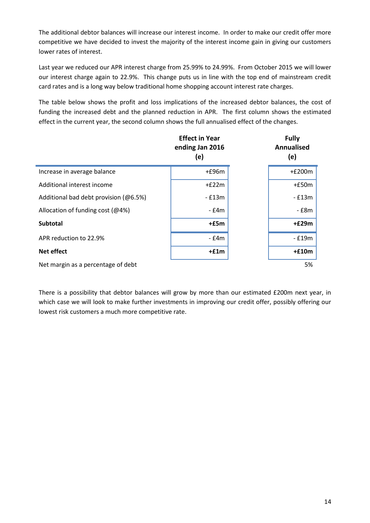The additional debtor balances will increase our interest income. In order to make our credit offer more competitive we have decided to invest the majority of the interest income gain in giving our customers lower rates of interest.

Last year we reduced our APR interest charge from 25.99% to 24.99%. From October 2015 we will lower our interest charge again to 22.9%. This change puts us in line with the top end of mainstream credit card rates and is a long way below traditional home shopping account interest rate charges.

The table below shows the profit and loss implications of the increased debtor balances, the cost of funding the increased debt and the planned reduction in APR. The first column shows the estimated effect in the current year, the second column shows the full annualised effect of the changes.

|                                       | <b>Effect in Year</b><br>ending Jan 2016<br>(e) | <b>Fully</b><br><b>Annualised</b><br>(e) |
|---------------------------------------|-------------------------------------------------|------------------------------------------|
| Increase in average balance           | $+£96m$                                         | $+£200m$                                 |
| Additional interest income            | $+£22m$                                         | $+£50m$                                  |
| Additional bad debt provision (@6.5%) | - £13m                                          | $-£13m$                                  |
| Allocation of funding cost ( $@4%$ )  | - £4m                                           | $-$ £8 $m$                               |
| <b>Subtotal</b>                       | $+E$ m                                          | $+£29m$                                  |
| APR reduction to 22.9%                | $-E4m$                                          | - £19m                                   |
| <b>Net effect</b>                     | $+f1m$                                          | $+£10m$                                  |
| Net margin as a percentage of debt    |                                                 | 5%                                       |

There is a possibility that debtor balances will grow by more than our estimated £200m next year, in which case we will look to make further investments in improving our credit offer, possibly offering our lowest risk customers a much more competitive rate.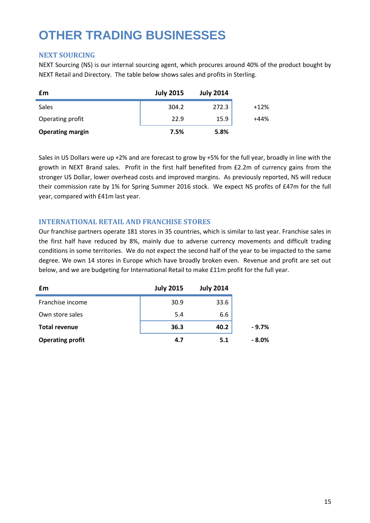### <span id="page-14-0"></span>**OTHER TRADING BUSINESSES**

### <span id="page-14-1"></span>**NEXT SOURCING**

NEXT Sourcing (NS) is our internal sourcing agent, which procures around 40% of the product bought by NEXT Retail and Directory. The table below shows sales and profits in Sterling.

| £m                      | <b>July 2015</b> | <b>July 2014</b> |        |
|-------------------------|------------------|------------------|--------|
| <b>Sales</b>            | 304.2            | 272.3            | $+12%$ |
| Operating profit        | 22.9             | 15.9             | $+44%$ |
| <b>Operating margin</b> | 7.5%             | 5.8%             |        |

Sales in US Dollars were up +2% and are forecast to grow by +5% for the full year, broadly in line with the growth in NEXT Brand sales. Profit in the first half benefited from £2.2m of currency gains from the stronger US Dollar, lower overhead costs and improved margins. As previously reported, NS will reduce their commission rate by 1% for Spring Summer 2016 stock. We expect NS profits of £47m for the full year, compared with £41m last year.

### <span id="page-14-2"></span>**INTERNATIONAL RETAIL AND FRANCHISE STORES**

Our franchise partners operate 181 stores in 35 countries, which is similar to last year. Franchise sales in the first half have reduced by 8%, mainly due to adverse currency movements and difficult trading conditions in some territories. We do not expect the second half of the year to be impacted to the same degree. We own 14 stores in Europe which have broadly broken even. Revenue and profit are set out below, and we are budgeting for International Retail to make £11m profit for the full year.

| £m                      | <b>July 2015</b> | <b>July 2014</b> |
|-------------------------|------------------|------------------|
| Franchise income        | 30.9             | 33.6             |
| Own store sales         | 5.4              | 6.6              |
| <b>Total revenue</b>    | 36.3             | 40.2             |
| <b>Operating profit</b> | 4.7              | 5.1              |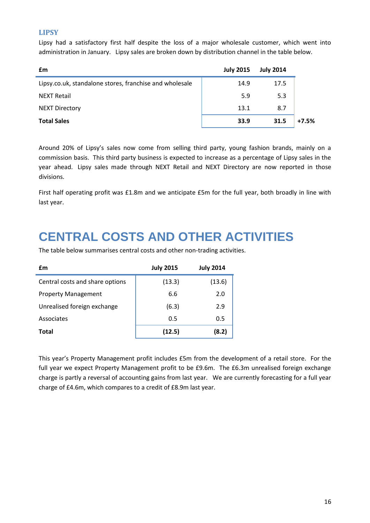### <span id="page-15-0"></span>**LIPSY**

Lipsy had a satisfactory first half despite the loss of a major wholesale customer, which went into administration in January. Lipsy sales are broken down by distribution channel in the table below.

| £m                                                      | <b>July 2015</b> | <b>July 2014</b> |         |
|---------------------------------------------------------|------------------|------------------|---------|
| Lipsy.co.uk, standalone stores, franchise and wholesale | 14.9             | 17.5             |         |
| <b>NEXT Retail</b>                                      | 5.9              | 5.3              |         |
| <b>NEXT Directory</b>                                   | 13.1             | 8.7              |         |
| <b>Total Sales</b>                                      | 33.9             | 31.5             | $+7.5%$ |

Around 20% of Lipsy's sales now come from selling third party, young fashion brands, mainly on a commission basis. This third party business is expected to increase as a percentage of Lipsy sales in the year ahead. Lipsy sales made through NEXT Retail and NEXT Directory are now reported in those divisions.

First half operating profit was £1.8m and we anticipate £5m for the full year, both broadly in line with last year.

### <span id="page-15-1"></span>**CENTRAL COSTS AND OTHER ACTIVITIES**

The table below summarises central costs and other non-trading activities.

| £m                              | <b>July 2015</b> | <b>July 2014</b> |
|---------------------------------|------------------|------------------|
| Central costs and share options | (13.3)           | (13.6)           |
| <b>Property Management</b>      | 6.6              | 2.0              |
| Unrealised foreign exchange     | (6.3)            | 2.9              |
| Associates                      | 0.5              | 0.5              |
| Total                           | (12.5)           | (8.2)            |

This year's Property Management profit includes £5m from the development of a retail store. For the full year we expect Property Management profit to be £9.6m. The £6.3m unrealised foreign exchange charge is partly a reversal of accounting gains from last year. We are currently forecasting for a full year charge of £4.6m, which compares to a credit of £8.9m last year.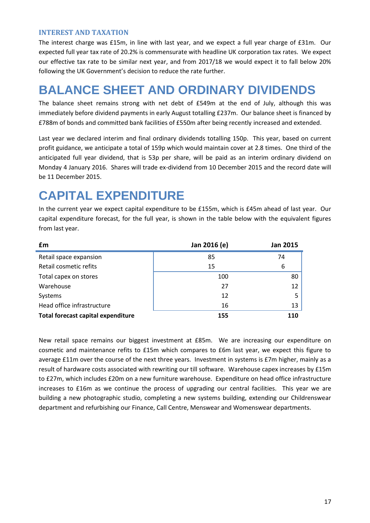### <span id="page-16-0"></span>**INTEREST AND TAXATION**

The interest charge was £15m, in line with last year, and we expect a full year charge of £31m. Our expected full year tax rate of 20.2% is commensurate with headline UK corporation tax rates. We expect our effective tax rate to be similar next year, and from 2017/18 we would expect it to fall below 20% following the UK Government's decision to reduce the rate further.

### <span id="page-16-1"></span>**BALANCE SHEET AND ORDINARY DIVIDENDS**

The balance sheet remains strong with net debt of £549m at the end of July, although this was immediately before dividend payments in early August totalling £237m. Our balance sheet is financed by £788m of bonds and committed bank facilities of £550m after being recently increased and extended.

Last year we declared interim and final ordinary dividends totalling 150p. This year, based on current profit guidance, we anticipate a total of 159p which would maintain cover at 2.8 times. One third of the anticipated full year dividend, that is 53p per share, will be paid as an interim ordinary dividend on Monday 4 January 2016. Shares will trade ex-dividend from 10 December 2015 and the record date will be 11 December 2015.

### <span id="page-16-2"></span>**CAPITAL EXPENDITURE**

In the current year we expect capital expenditure to be £155m, which is £45m ahead of last year. Our capital expenditure forecast, for the full year, is shown in the table below with the equivalent figures from last year.

| £m                                        | Jan 2016 (e) | <b>Jan 2015</b> |
|-------------------------------------------|--------------|-----------------|
| Retail space expansion                    | 85           | 74              |
| Retail cosmetic refits                    | 15           | 6               |
| Total capex on stores                     | 100          | 80              |
| Warehouse                                 | 27           | 12              |
| Systems                                   | 12           | 5               |
| Head office infrastructure                | 16           | 13              |
| <b>Total forecast capital expenditure</b> | 155          | 110             |

<span id="page-16-3"></span>New retail space remains our biggest investment at £85m. We are increasing our expenditure on cosmetic and maintenance refits to £15m which compares to £6m last year, we expect this figure to average £11m over the course of the next three years. Investment in systems is £7m higher, mainly as a result of hardware costs associated with rewriting our till software. Warehouse capex increases by £15m to £27m, which includes £20m on a new furniture warehouse. Expenditure on head office infrastructure increases to £16m as we continue the process of upgrading our central facilities. This year we are building a new photographic studio, completing a new systems building, extending our Childrenswear department and refurbishing our Finance, Call Centre, Menswear and Womenswear departments.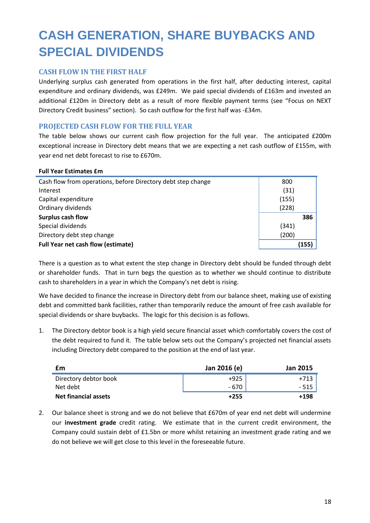### **CASH GENERATION, SHARE BUYBACKS AND SPECIAL DIVIDENDS**

### <span id="page-17-0"></span>**CASH FLOW IN THE FIRST HALF**

Underlying surplus cash generated from operations in the first half, after deducting interest, capital expenditure and ordinary dividends, was £249m. We paid special dividends of £163m and invested an additional £120m in Directory debt as a result of more flexible payment terms (see "Focus on NEXT Directory Credit business" section). So cash outflow for the first half was -£34m.

### <span id="page-17-1"></span>**PROJECTED CASH FLOW FOR THE FULL YEAR**

The table below shows our current cash flow projection for the full year. The anticipated £200m exceptional increase in Directory debt means that we are expecting a net cash outflow of £155m, with year end net debt forecast to rise to £670m.

#### **Full Year Estimates £m**

| Cash flow from operations, before Directory debt step change | 800   |
|--------------------------------------------------------------|-------|
| Interest                                                     | (31)  |
| Capital expenditure                                          | (155) |
| Ordinary dividends                                           | (228) |
| Surplus cash flow                                            | 386   |
| Special dividends                                            | (341) |
| Directory debt step change                                   | (200) |
| <b>Full Year net cash flow (estimate)</b>                    | (155) |

There is a question as to what extent the step change in Directory debt should be funded through debt or shareholder funds. That in turn begs the question as to whether we should continue to distribute cash to shareholders in a year in which the Company's net debt is rising.

We have decided to finance the increase in Directory debt from our balance sheet, making use of existing debt and committed bank facilities, rather than temporarily reduce the amount of free cash available for special dividends or share buybacks. The logic for this decision is as follows.

1. The Directory debtor book is a high yield secure financial asset which comfortably covers the cost of the debt required to fund it. The table below sets out the Company's projected net financial assets including Directory debt compared to the position at the end of last year.

| £m                          | Jan 2016 (e) | <b>Jan 2015</b> |
|-----------------------------|--------------|-----------------|
| Directory debtor book       | $+925$       | +713            |
| Net debt                    | - 670        | - 515           |
| <b>Net financial assets</b> | $+255$       | +198            |

2. Our balance sheet is strong and we do not believe that £670m of year end net debt will undermine our **investment grade** credit rating. We estimate that in the current credit environment, the Company could sustain debt of £1.5bn or more whilst retaining an investment grade rating and we do not believe we will get close to this level in the foreseeable future.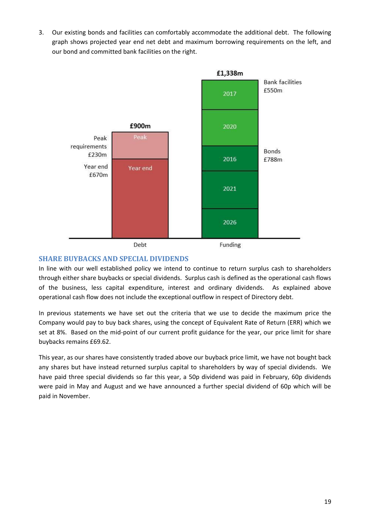3. Our existing bonds and facilities can comfortably accommodate the additional debt. The following graph shows projected year end net debt and maximum borrowing requirements on the left, and our bond and committed bank facilities on the right.



### <span id="page-18-0"></span>**SHARE BUYBACKS AND SPECIAL DIVIDENDS**

In line with our well established policy we intend to continue to return surplus cash to shareholders through either share buybacks or special dividends. Surplus cash is defined as the operational cash flows of the business, less capital expenditure, interest and ordinary dividends. As explained above operational cash flow does not include the exceptional outflow in respect of Directory debt.

In previous statements we have set out the criteria that we use to decide the maximum price the Company would pay to buy back shares, using the concept of Equivalent Rate of Return (ERR) which we set at 8%. Based on the mid-point of our current profit guidance for the year, our price limit for share buybacks remains £69.62.

This year, as our shares have consistently traded above our buyback price limit, we have not bought back any shares but have instead returned surplus capital to shareholders by way of special dividends. We have paid three special dividends so far this year, a 50p dividend was paid in February, 60p dividends were paid in May and August and we have announced a further special dividend of 60p which will be paid in November.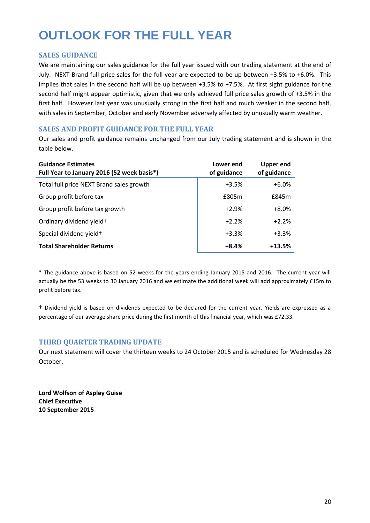### <span id="page-19-0"></span>**OUTLOOK FOR THE FULL YEAR**

### <span id="page-19-1"></span>**SALES GUIDANCE**

We are maintaining our sales guidance for the full year issued with our trading statement at the end of July. NEXT Brand full price sales for the full year are expected to be up between +3.5% to +6.0%. This implies that sales in the second half will be up between +3.5% to +7.5%. At first sight guidance for the second half might appear optimistic, given that we only achieved full price sales growth of +3.5% in the first half. However last year was unusually strong in the first half and much weaker in the second half, with sales in September, October and early November adversely affected by unusually warm weather.

### <span id="page-19-2"></span>**SALES AND PROFIT GUIDANCE FOR THE FULL YEAR**

Our sales and profit guidance remains unchanged from our July trading statement and is shown in the table below.

| <b>Guidance Estimates</b><br>Full Year to January 2016 (52 week basis*) | Lower end<br>of guidance | <b>Upper end</b><br>of guidance |
|-------------------------------------------------------------------------|--------------------------|---------------------------------|
| Total full price NEXT Brand sales growth                                | $+3.5%$                  | $+6.0\%$                        |
| Group profit before tax                                                 | £805m                    | £845m                           |
| Group profit before tax growth                                          | $+2.9%$                  | $+8.0%$                         |
| Ordinary dividend yield+                                                | $+2.2%$                  | $+2.2%$                         |
| Special dividend yield <sup>+</sup>                                     | $+3.3%$                  | $+3.3%$                         |
| <b>Total Shareholder Returns</b>                                        | $+8.4%$                  | $+13.5%$                        |

\* The guidance above is based on 52 weeks for the years ending January 2015 and 2016. The current year will actually be the 53 weeks to 30 January 2016 and we estimate the additional week will add approximately £15m to profit before tax.

† Dividend yield is based on dividends expected to be declared for the current year. Yields are expressed as a percentage of our average share price during the first month of this financial year, which was £72.33.

### <span id="page-19-3"></span>**THIRD QUARTER TRADING UPDATE**

Our next statement will cover the thirteen weeks to 24 October 2015 and is scheduled for Wednesday 28 October.

**Lord Wolfson of Aspley Guise Chief Executive 10 September 2015**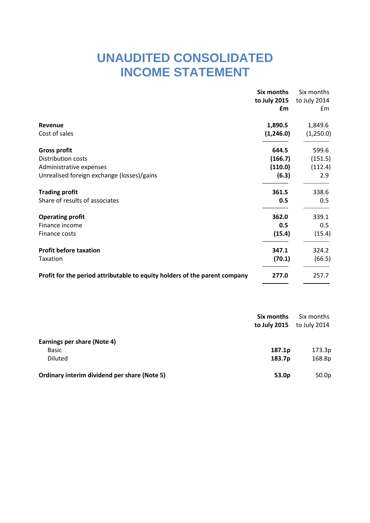### **UNAUDITED CONSOLIDATED INCOME STATEMENT**

|                                                                            | Six months   | Six months    |
|----------------------------------------------------------------------------|--------------|---------------|
|                                                                            | to July 2015 | to July 2014  |
|                                                                            | £m           | $\mathsf{fm}$ |
| Revenue                                                                    | 1,890.5      | 1,849.6       |
| Cost of sales                                                              | (1,246.0)    | (1,250.0)     |
| <b>Gross profit</b>                                                        | 644.5        | 599.6         |
| Distribution costs                                                         | (166.7)      | (151.5)       |
| Administrative expenses                                                    | (110.0)      | (112.4)       |
| Unrealised foreign exchange (losses)/gains                                 | (6.3)        | 2.9           |
| <b>Trading profit</b>                                                      | 361.5        | 338.6         |
| Share of results of associates                                             | 0.5          | 0.5           |
| <b>Operating profit</b>                                                    | 362.0        | 339.1         |
| Finance income                                                             | 0.5          | 0.5           |
| Finance costs                                                              | (15.4)       | (15.4)        |
| <b>Profit before taxation</b>                                              | 347.1        | 324.2         |
| Taxation                                                                   | (70.1)       | (66.5)        |
| Profit for the period attributable to equity holders of the parent company | 277.0        | 257.7         |

|                                              | Six months   | Six months   |
|----------------------------------------------|--------------|--------------|
|                                              | to July 2015 | to July 2014 |
| Earnings per share (Note 4)                  |              |              |
| <b>Basic</b>                                 | 187.1p       | 173.3p       |
| <b>Diluted</b>                               | 183.7p       | 168.8p       |
| Ordinary interim dividend per share (Note 5) | 53.0p        | 50.0p        |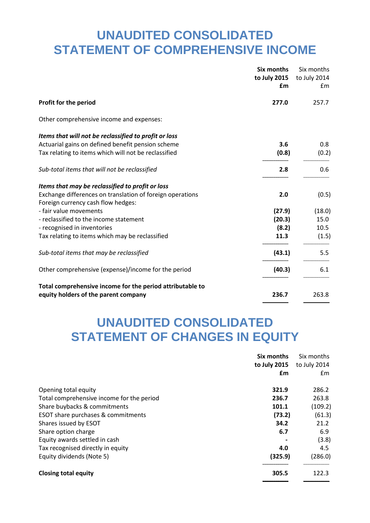### **UNAUDITED CONSOLIDATED STATEMENT OF COMPREHENSIVE INCOME**

|                                                                                                 | <b>Six months</b><br>to July 2015<br>£m | Six months<br>to July 2014<br>£m |
|-------------------------------------------------------------------------------------------------|-----------------------------------------|----------------------------------|
| Profit for the period                                                                           | 277.0                                   | 257.7                            |
| Other comprehensive income and expenses:                                                        |                                         |                                  |
| Items that will not be reclassified to profit or loss                                           |                                         |                                  |
| Actuarial gains on defined benefit pension scheme                                               | 3.6                                     | 0.8                              |
| Tax relating to items which will not be reclassified                                            | (0.8)                                   | (0.2)                            |
| Sub-total items that will not be reclassified                                                   | 2.8                                     | 0.6                              |
| Items that may be reclassified to profit or loss                                                |                                         |                                  |
| Exchange differences on translation of foreign operations<br>Foreign currency cash flow hedges: | 2.0                                     | (0.5)                            |
| - fair value movements                                                                          | (27.9)                                  | (18.0)                           |
| - reclassified to the income statement                                                          | (20.3)                                  | 15.0                             |
| - recognised in inventories                                                                     | (8.2)                                   | 10.5                             |
| Tax relating to items which may be reclassified                                                 | 11.3                                    | (1.5)                            |
| Sub-total items that may be reclassified                                                        | (43.1)                                  | 5.5                              |
| Other comprehensive (expense)/income for the period                                             | (40.3)                                  | 6.1                              |
| Total comprehensive income for the period attributable to                                       |                                         |                                  |
| equity holders of the parent company                                                            | 236.7                                   | 263.8                            |

### **UNAUDITED CONSOLIDATED STATEMENT OF CHANGES IN EQUITY**

|                                           | Six months   | Six months   |
|-------------------------------------------|--------------|--------------|
|                                           | to July 2015 | to July 2014 |
|                                           | £m           | £m           |
| Opening total equity                      | 321.9        | 286.2        |
| Total comprehensive income for the period | 236.7        | 263.8        |
| Share buybacks & commitments              | 101.1        | (109.2)      |
| ESOT share purchases & commitments        | (73.2)       | (61.3)       |
| Shares issued by ESOT                     | 34.2         | 21.2         |
| Share option charge                       | 6.7          | 6.9          |
| Equity awards settled in cash             |              | (3.8)        |
| Tax recognised directly in equity         | 4.0          | 4.5          |
| Equity dividends (Note 5)                 | (325.9)      | (286.0)      |
| <b>Closing total equity</b>               | 305.5        | 122.3        |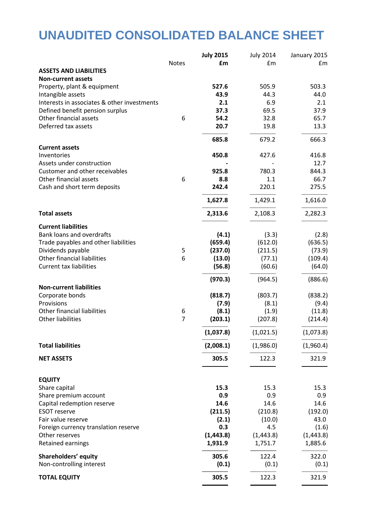### **UNAUDITED CONSOLIDATED BALANCE SHEET**

|                                                        |                     | <b>July 2015</b> | <b>July 2014</b> | January 2015  |
|--------------------------------------------------------|---------------------|------------------|------------------|---------------|
|                                                        | <b>Notes</b>        | £m               | £m               | £m            |
| <b>ASSETS AND LIABILITIES</b>                          |                     |                  |                  |               |
| <b>Non-current assets</b>                              |                     |                  |                  |               |
| Property, plant & equipment                            |                     | 527.6            | 505.9            | 503.3         |
| Intangible assets                                      |                     | 43.9             | 44.3             | 44.0          |
| Interests in associates & other investments            |                     | 2.1              | 6.9              | 2.1           |
| Defined benefit pension surplus                        |                     | 37.3             | 69.5             | 37.9          |
| Other financial assets                                 | 6                   | 54.2             | 32.8             | 65.7          |
| Deferred tax assets                                    |                     | 20.7             | 19.8             | 13.3          |
|                                                        |                     | 685.8            | 679.2            | 666.3         |
| <b>Current assets</b>                                  |                     |                  |                  |               |
| Inventories                                            |                     | 450.8            | 427.6            | 416.8         |
| Assets under construction                              |                     |                  |                  | 12.7          |
| Customer and other receivables                         |                     | 925.8            | 780.3            | 844.3         |
| Other financial assets<br>Cash and short term deposits | 6                   | 8.8<br>242.4     | 1.1<br>220.1     | 66.7<br>275.5 |
|                                                        |                     | 1,627.8          | 1,429.1          | 1,616.0       |
|                                                        |                     |                  |                  |               |
| <b>Total assets</b>                                    |                     | 2,313.6          | 2,108.3          | 2,282.3       |
| <b>Current liabilities</b>                             |                     |                  |                  |               |
| <b>Bank loans and overdrafts</b>                       |                     | (4.1)            | (3.3)            | (2.8)         |
| Trade payables and other liabilities                   |                     | (659.4)          | (612.0)          | (636.5)       |
| Dividends payable                                      | 5                   | (237.0)          | (211.5)          | (73.9)        |
| Other financial liabilities                            | 6                   | (13.0)           | (77.1)           | (109.4)       |
| <b>Current tax liabilities</b>                         |                     | (56.8)           | (60.6)           | (64.0)        |
|                                                        |                     | (970.3)          | (964.5)          | (886.6)       |
| <b>Non-current liabilities</b>                         |                     |                  |                  |               |
| Corporate bonds                                        |                     | (818.7)          | (803.7)          | (838.2)       |
| Provisions                                             |                     | (7.9)            | (8.1)            | (9.4)         |
| <b>Other financial liabilities</b>                     | 6<br>$\overline{7}$ | (8.1)            | (1.9)            | (11.8)        |
| <b>Other liabilities</b>                               |                     | (203.1)          | (207.8)          | (214.4)       |
|                                                        |                     | (1,037.8)        | (1,021.5)        | (1,073.8)     |
| <b>Total liabilities</b>                               |                     | (2,008.1)        | (1,986.0)        | (1,960.4)     |
| <b>NET ASSETS</b>                                      |                     | 305.5            | 122.3            | 321.9         |
|                                                        |                     |                  |                  |               |
| <b>EQUITY</b>                                          |                     |                  |                  |               |
| Share capital                                          |                     | 15.3             | 15.3             | 15.3          |
| Share premium account                                  |                     | 0.9              | 0.9              | 0.9           |
| Capital redemption reserve                             |                     | 14.6             | 14.6             | 14.6          |
| <b>ESOT reserve</b>                                    |                     | (211.5)          | (210.8)          | (192.0)       |
| Fair value reserve                                     |                     | (2.1)            | (10.0)           | 43.0          |
| Foreign currency translation reserve                   |                     | 0.3              | 4.5              | (1.6)         |
| Other reserves                                         |                     | (1, 443.8)       | (1,443.8)        | (1,443.8)     |
| Retained earnings                                      |                     | 1,931.9          | 1,751.7          | 1,885.6       |
| Shareholders' equity                                   |                     | 305.6            | 122.4            | 322.0         |
| Non-controlling interest                               |                     | (0.1)            | (0.1)            | (0.1)         |
| <b>TOTAL EQUITY</b>                                    |                     | 305.5            | 122.3            | 321.9         |
|                                                        |                     |                  |                  |               |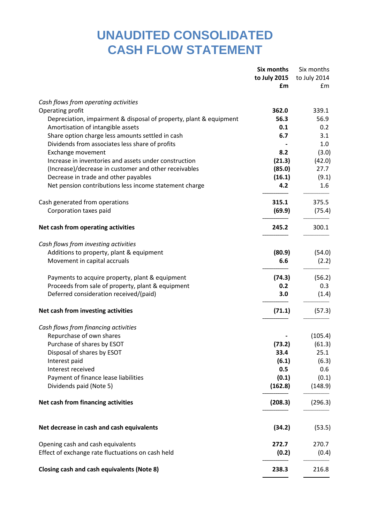### **UNAUDITED CONSOLIDATED CASH FLOW STATEMENT**

|                                                                    | <b>Six months</b> | Six months   |
|--------------------------------------------------------------------|-------------------|--------------|
|                                                                    | to July 2015      | to July 2014 |
|                                                                    | £m                | Em           |
| Cash flows from operating activities                               |                   |              |
| Operating profit                                                   | 362.0             | 339.1        |
| Depreciation, impairment & disposal of property, plant & equipment | 56.3              | 56.9         |
| Amortisation of intangible assets                                  | 0.1               | 0.2          |
| Share option charge less amounts settled in cash                   | 6.7               | 3.1          |
| Dividends from associates less share of profits                    |                   | 1.0          |
| Exchange movement                                                  | 8.2               | (3.0)        |
| Increase in inventories and assets under construction              | (21.3)            | (42.0)       |
| (Increase)/decrease in customer and other receivables              | (85.0)            | 27.7         |
| Decrease in trade and other payables                               | (16.1)            | (9.1)        |
| Net pension contributions less income statement charge             | 4.2               | 1.6          |
|                                                                    |                   |              |
| Cash generated from operations                                     | 315.1             | 375.5        |
| Corporation taxes paid                                             | (69.9)            | (75.4)       |
| Net cash from operating activities                                 | 245.2             | 300.1        |
| Cash flows from investing activities                               |                   |              |
| Additions to property, plant & equipment                           | (80.9)            | (54.0)       |
| Movement in capital accruals                                       | 6.6               | (2.2)        |
|                                                                    |                   |              |
| Payments to acquire property, plant & equipment                    | (74.3)            | (56.2)       |
| Proceeds from sale of property, plant & equipment                  | 0.2               | 0.3          |
| Deferred consideration received/(paid)                             | 3.0               | (1.4)        |
| Net cash from investing activities                                 | (71.1)            | (57.3)       |
| Cash flows from financing activities                               |                   |              |
| Repurchase of own shares                                           |                   | (105.4)      |
| Purchase of shares by ESOT                                         | (73.2)            | (61.3)       |
| Disposal of shares by ESOT                                         | 33.4              | 25.1         |
| Interest paid                                                      | (6.1)             | (6.3)        |
| Interest received                                                  | 0.5               | 0.6          |
| Payment of finance lease liabilities                               | (0.1)             | (0.1)        |
| Dividends paid (Note 5)                                            | (162.8)           | (148.9)      |
| Net cash from financing activities                                 | (208.3)           | (296.3)      |
| Net decrease in cash and cash equivalents                          | (34.2)            | (53.5)       |
|                                                                    |                   |              |
| Opening cash and cash equivalents                                  | 272.7             | 270.7        |
| Effect of exchange rate fluctuations on cash held                  | (0.2)             | (0.4)        |
| <b>Closing cash and cash equivalents (Note 8)</b>                  | 238.3             | 216.8        |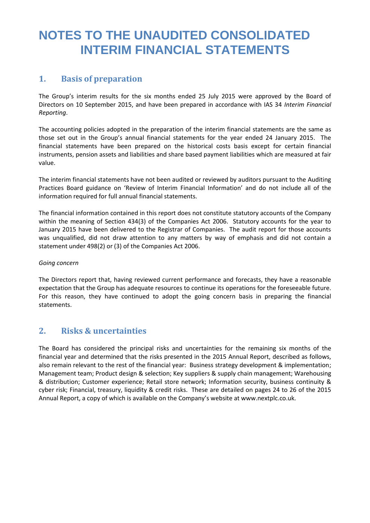### **NOTES TO THE UNAUDITED CONSOLIDATED INTERIM FINANCIAL STATEMENTS**

### **1. Basis of preparation**

The Group's interim results for the six months ended 25 July 2015 were approved by the Board of Directors on 10 September 2015, and have been prepared in accordance with IAS 34 *Interim Financial Reporting*.

The accounting policies adopted in the preparation of the interim financial statements are the same as those set out in the Group's annual financial statements for the year ended 24 January 2015. The financial statements have been prepared on the historical costs basis except for certain financial instruments, pension assets and liabilities and share based payment liabilities which are measured at fair value.

The interim financial statements have not been audited or reviewed by auditors pursuant to the Auditing Practices Board guidance on 'Review of Interim Financial Information' and do not include all of the information required for full annual financial statements.

The financial information contained in this report does not constitute statutory accounts of the Company within the meaning of Section 434(3) of the Companies Act 2006. Statutory accounts for the year to January 2015 have been delivered to the Registrar of Companies. The audit report for those accounts was unqualified, did not draw attention to any matters by way of emphasis and did not contain a statement under 498(2) or (3) of the Companies Act 2006.

#### *Going concern*

The Directors report that, having reviewed current performance and forecasts, they have a reasonable expectation that the Group has adequate resources to continue its operations for the foreseeable future. For this reason, they have continued to adopt the going concern basis in preparing the financial statements.

### **2. Risks & uncertainties**

The Board has considered the principal risks and uncertainties for the remaining six months of the financial year and determined that the risks presented in the 2015 Annual Report, described as follows, also remain relevant to the rest of the financial year: Business strategy development & implementation; Management team; Product design & selection; Key suppliers & supply chain management; Warehousing & distribution; Customer experience; Retail store network; Information security, business continuity & cyber risk; Financial, treasury, liquidity & credit risks. These are detailed on pages 24 to 26 of the 2015 Annual Report, a copy of which is available on the Company's website at www.nextplc.co.uk.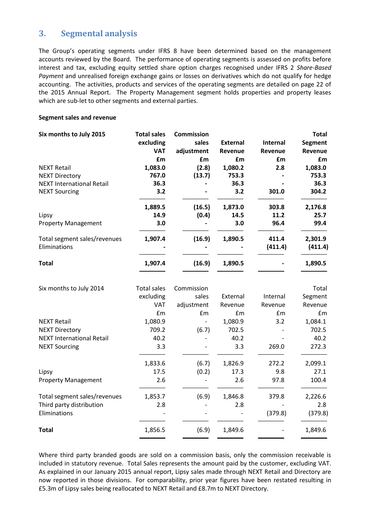### **3. Segmental analysis**

The Group's operating segments under IFRS 8 have been determined based on the management accounts reviewed by the Board. The performance of operating segments is assessed on profits before interest and tax, excluding equity settled share option charges recognised under IFRS 2 *Share-Based Payment* and unrealised foreign exchange gains or losses on derivatives which do not qualify for hedge accounting. The activities, products and services of the operating segments are detailed on page 22 of the 2015 Annual Report. The Property Management segment holds properties and property leases which are sub-let to other segments and external parties.

#### **Segment sales and revenue**

| Six months to July 2015          | <b>Total sales</b> | <b>Commission</b>        |                 |          | <b>Total</b>   |
|----------------------------------|--------------------|--------------------------|-----------------|----------|----------------|
|                                  | excluding          | sales                    | <b>External</b> | Internal | <b>Segment</b> |
|                                  | <b>VAT</b>         | adjustment               | Revenue         | Revenue  | Revenue        |
|                                  | £m                 | £m                       | £m              | £m       | £m             |
| <b>NEXT Retail</b>               | 1,083.0            | (2.8)                    | 1,080.2         | 2.8      | 1,083.0        |
| <b>NEXT Directory</b>            | 767.0              | (13.7)                   | 753.3           |          | 753.3          |
| <b>NEXT International Retail</b> | 36.3               |                          | 36.3            |          | 36.3           |
| <b>NEXT Sourcing</b>             | 3.2                |                          | 3.2             | 301.0    | 304.2          |
|                                  | 1,889.5            | (16.5)                   | 1,873.0         | 303.8    | 2,176.8        |
| Lipsy                            | 14.9               | (0.4)                    | 14.5            | 11.2     | 25.7           |
| <b>Property Management</b>       | 3.0                |                          | 3.0             | 96.4     | 99.4           |
| Total segment sales/revenues     | 1,907.4            | (16.9)                   | 1,890.5         | 411.4    | 2,301.9        |
| Eliminations                     |                    |                          |                 | (411.4)  | (411.4)        |
| <b>Total</b>                     | 1,907.4            | (16.9)                   | 1,890.5         |          | 1,890.5        |
| Six months to July 2014          | <b>Total sales</b> | Commission               |                 |          | Total          |
|                                  | excluding          | sales                    | External        | Internal | Segment        |
|                                  | <b>VAT</b>         | adjustment               | Revenue         | Revenue  | Revenue        |
|                                  | £m                 | £m                       | £m              | £m       | £m             |
| <b>NEXT Retail</b>               | 1,080.9            |                          | 1,080.9         | 3.2      | 1,084.1        |
| <b>NEXT Directory</b>            | 709.2              | (6.7)                    | 702.5           |          | 702.5          |
| <b>NEXT International Retail</b> | 40.2               | $\overline{\phantom{m}}$ | 40.2            |          | 40.2           |
| <b>NEXT Sourcing</b>             | 3.3                |                          | 3.3             | 269.0    | 272.3          |
|                                  | 1,833.6            | (6.7)                    | 1,826.9         | 272.2    | 2,099.1        |
| Lipsy                            | 17.5               | (0.2)                    | 17.3            | 9.8      | 27.1           |
| <b>Property Management</b>       | 2.6                |                          | 2.6             | 97.8     | 100.4          |
| Total segment sales/revenues     | 1,853.7            | (6.9)                    | 1,846.8         | 379.8    | 2,226.6        |
| Third party distribution         | 2.8                |                          | 2.8             |          | 2.8            |
| Eliminations                     |                    |                          |                 | (379.8)  | (379.8)        |
| <b>Total</b>                     | 1,856.5            | (6.9)                    | 1,849.6         |          | 1,849.6        |

Where third party branded goods are sold on a commission basis, only the commission receivable is included in statutory revenue. Total Sales represents the amount paid by the customer, excluding VAT. As explained in our January 2015 annual report, Lipsy sales made through NEXT Retail and Directory are now reported in those divisions. For comparability, prior year figures have been restated resulting in £5.3m of Lipsy sales being reallocated to NEXT Retail and £8.7m to NEXT Directory.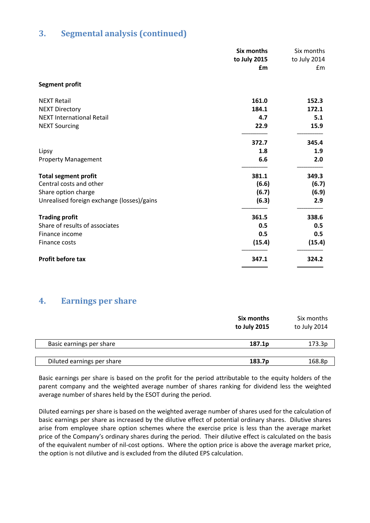### **3. Segmental analysis (continued)**

|                                            | Six months<br>to July 2015<br>£m | Six months<br>to July 2014<br>Em |
|--------------------------------------------|----------------------------------|----------------------------------|
| <b>Segment profit</b>                      |                                  |                                  |
| <b>NEXT Retail</b>                         | 161.0                            | 152.3                            |
| <b>NEXT Directory</b>                      | 184.1                            | 172.1                            |
| <b>NEXT International Retail</b>           | 4.7                              | 5.1                              |
| <b>NEXT Sourcing</b>                       | 22.9                             | 15.9                             |
|                                            | 372.7                            | 345.4                            |
| Lipsy                                      | 1.8                              | 1.9                              |
| <b>Property Management</b>                 | 6.6                              | 2.0                              |
| <b>Total segment profit</b>                | 381.1                            | 349.3                            |
| Central costs and other                    | (6.6)                            | (6.7)                            |
| Share option charge                        | (6.7)                            | (6.9)                            |
| Unrealised foreign exchange (losses)/gains | (6.3)                            | 2.9                              |
| <b>Trading profit</b>                      | 361.5                            | 338.6                            |
| Share of results of associates             | 0.5                              | 0.5                              |
| Finance income                             | 0.5                              | 0.5                              |
| Finance costs                              | (15.4)                           | (15.4)                           |
| <b>Profit before tax</b>                   | 347.1                            | 324.2                            |

### **4. Earnings per share**

|                            | Six months<br>to July 2015 | Six months<br>to July 2014 |
|----------------------------|----------------------------|----------------------------|
| Basic earnings per share   | 187.1 <sub>p</sub>         | 173.3p                     |
|                            |                            |                            |
| Diluted earnings per share | 183.7p                     | 168.8p                     |

Basic earnings per share is based on the profit for the period attributable to the equity holders of the parent company and the weighted average number of shares ranking for dividend less the weighted average number of shares held by the ESOT during the period.

Diluted earnings per share is based on the weighted average number of shares used for the calculation of basic earnings per share as increased by the dilutive effect of potential ordinary shares. Dilutive shares arise from employee share option schemes where the exercise price is less than the average market price of the Company's ordinary shares during the period. Their dilutive effect is calculated on the basis of the equivalent number of nil-cost options. Where the option price is above the average market price, the option is not dilutive and is excluded from the diluted EPS calculation.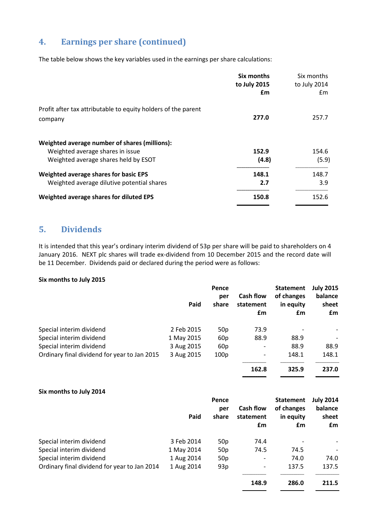### **4. Earnings per share (continued)**

The table below shows the key variables used in the earnings per share calculations:

|                                                               | Six months<br>to July 2015<br>£m | Six months<br>to July 2014<br>£m |
|---------------------------------------------------------------|----------------------------------|----------------------------------|
| Profit after tax attributable to equity holders of the parent |                                  |                                  |
| company                                                       | 277.0                            | 257.7                            |
| Weighted average number of shares (millions):                 |                                  |                                  |
| Weighted average shares in issue                              | 152.9                            | 154.6                            |
| Weighted average shares held by ESOT                          | (4.8)                            | (5.9)                            |
| Weighted average shares for basic EPS                         | 148.1                            | 148.7                            |
| Weighted average dilutive potential shares                    | 2.7                              | 3.9                              |
| Weighted average shares for diluted EPS                       | 150.8                            | 152.6                            |

### **5. Dividends**

It is intended that this year's ordinary interim dividend of 53p per share will be paid to shareholders on 4 January 2016. NEXT plc shares will trade ex-dividend from 10 December 2015 and the record date will be 11 December. Dividends paid or declared during the period were as follows:

#### **Six months to July 2015**

|                                              | Paid       | Pence<br>per<br>share | <b>Cash flow</b><br>statement<br>£m | <b>Statement</b><br>of changes<br>in equity<br>£m | <b>July 2015</b><br>balance<br>sheet<br>£m |
|----------------------------------------------|------------|-----------------------|-------------------------------------|---------------------------------------------------|--------------------------------------------|
| Special interim dividend                     | 2 Feb 2015 | 50 <sub>p</sub>       | 73.9                                |                                                   |                                            |
| Special interim dividend                     | 1 May 2015 | 60p                   | 88.9                                | 88.9                                              |                                            |
| Special interim dividend                     | 3 Aug 2015 | 60 <sub>p</sub>       | $\qquad \qquad -$                   | 88.9                                              | 88.9                                       |
| Ordinary final dividend for year to Jan 2015 | 3 Aug 2015 | 100p                  | $\qquad \qquad \blacksquare$        | 148.1                                             | 148.1                                      |
|                                              |            |                       | 162.8                               | 325.9                                             | 237.0                                      |

|                                              | Paid       | Pence<br>per<br>share | <b>Cash flow</b><br>statement<br>£m | <b>Statement</b><br>of changes<br>in equity<br>£m | <b>July 2014</b><br>balance<br>sheet<br>£m |
|----------------------------------------------|------------|-----------------------|-------------------------------------|---------------------------------------------------|--------------------------------------------|
| Special interim dividend                     | 3 Feb 2014 | 50p                   | 74.4                                |                                                   |                                            |
| Special interim dividend                     | 1 May 2014 | 50p                   | 74.5                                | 74.5                                              |                                            |
| Special interim dividend                     | 1 Aug 2014 | 50p                   | $\overline{\phantom{a}}$            | 74.0                                              | 74.0                                       |
| Ordinary final dividend for year to Jan 2014 | 1 Aug 2014 | 93p                   | $\overline{\phantom{a}}$            | 137.5                                             | 137.5                                      |
|                                              |            |                       | 148.9                               | 286.0                                             | 211.5                                      |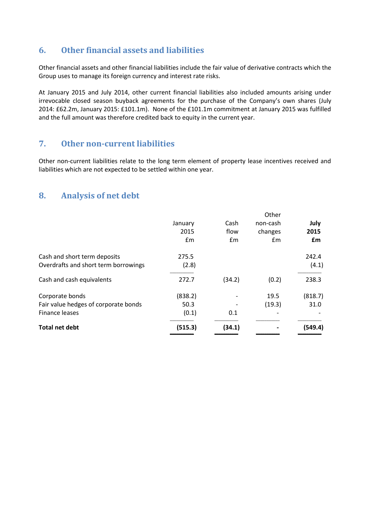### **6. Other financial assets and liabilities**

Other financial assets and other financial liabilities include the fair value of derivative contracts which the Group uses to manage its foreign currency and interest rate risks.

At January 2015 and July 2014, other current financial liabilities also included amounts arising under irrevocable closed season buyback agreements for the purchase of the Company's own shares (July 2014: £62.2m, January 2015: £101.1m). None of the £101.1m commitment at January 2015 was fulfilled and the full amount was therefore credited back to equity in the current year.

### **7. Other non-current liabilities**

Other non-current liabilities relate to the long term element of property lease incentives received and liabilities which are not expected to be settled within one year.

### **8. Analysis of net debt**

| <b>Total net debt</b>                | (515.3) | (34.1) |          | (549.4) |
|--------------------------------------|---------|--------|----------|---------|
| Finance leases                       | (0.1)   | 0.1    |          |         |
| Fair value hedges of corporate bonds | 50.3    |        | (19.3)   | 31.0    |
| Corporate bonds                      | (838.2) |        | 19.5     | (818.7) |
| Cash and cash equivalents            | 272.7   | (34.2) | (0.2)    | 238.3   |
| Overdrafts and short term borrowings | (2.8)   |        |          | (4.1)   |
| Cash and short term deposits         | 275.5   |        |          | 242.4   |
|                                      | Em      | Em     | Em       | £m      |
|                                      | 2015    | flow   | changes  | 2015    |
|                                      | January | Cash   | non-cash | July    |
|                                      |         |        | Other    |         |